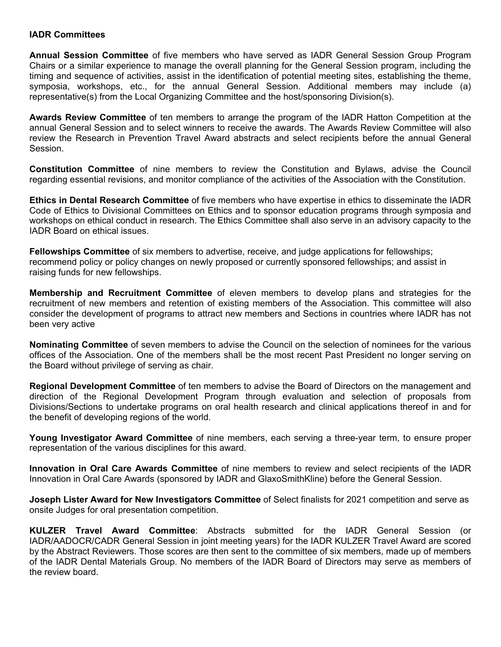## **IADR Committees**

**Annual Session Committee** of five members who have served as IADR General Session Group Program Chairs or a similar experience to manage the overall planning for the General Session program, including the timing and sequence of activities, assist in the identification of potential meeting sites, establishing the theme, symposia, workshops, etc., for the annual General Session. Additional members may include (a) representative(s) from the Local Organizing Committee and the host/sponsoring Division(s).

**Awards Review Committee** of ten members to arrange the program of the IADR Hatton Competition at the annual General Session and to select winners to receive the awards. The Awards Review Committee will also review the Research in Prevention Travel Award abstracts and select recipients before the annual General Session.

**Constitution Committee** of nine members to review the Constitution and Bylaws, advise the Council regarding essential revisions, and monitor compliance of the activities of the Association with the Constitution.

**Ethics in Dental Research Committee** of five members who have expertise in ethics to disseminate the IADR Code of Ethics to Divisional Committees on Ethics and to sponsor education programs through symposia and workshops on ethical conduct in research. The Ethics Committee shall also serve in an advisory capacity to the IADR Board on ethical issues.

**Fellowships Committee** of six members to advertise, receive, and judge applications for fellowships; recommend policy or policy changes on newly proposed or currently sponsored fellowships; and assist in raising funds for new fellowships.

**Membership and Recruitment Committee** of eleven members to develop plans and strategies for the recruitment of new members and retention of existing members of the Association. This committee will also consider the development of programs to attract new members and Sections in countries where IADR has not been very active

**Nominating Committee** of seven members to advise the Council on the selection of nominees for the various offices of the Association. One of the members shall be the most recent Past President no longer serving on the Board without privilege of serving as chair.

**Regional Development Committee** of ten members to advise the Board of Directors on the management and direction of the Regional Development Program through evaluation and selection of proposals from Divisions/Sections to undertake programs on oral health research and clinical applications thereof in and for the benefit of developing regions of the world.

**Young Investigator Award Committee** of nine members, each serving a three-year term, to ensure proper representation of the various disciplines for this award.

**Innovation in Oral Care Awards Committee** of nine members to review and select recipients of the IADR Innovation in Oral Care Awards (sponsored by IADR and GlaxoSmithKline) before the General Session.

**Joseph Lister Award for New Investigators Committee** of Select finalists for 2021 competition and serve as onsite Judges for oral presentation competition.

**KULZER Travel Award Committee**: Abstracts submitted for the IADR General Session (or IADR/AADOCR/CADR General Session in joint meeting years) for the IADR KULZER Travel Award are scored by the Abstract Reviewers. Those scores are then sent to the committee of six members, made up of members of the IADR Dental Materials Group. No members of the IADR Board of Directors may serve as members of the review board.